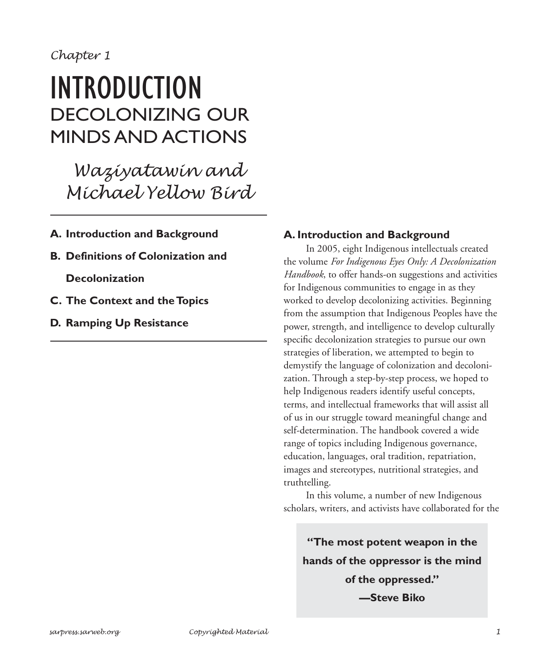## *Chapter 1*

# INTRODUCTION DECOLONIZING OUR MINDS AND ACTIONS

*Waziyatawin and Michael Yellow Bird*

- **A. Introduction and Background**
- **B. Definitions of Colonization and**

**Decolonization**

- **C. The Context and the Topics**
- **D. Ramping Up Resistance**

#### **A. Introduction and Background**

In 2005, eight Indigenous intellectuals created the volume *For Indigenous Eyes Only: A Decolonization Handbook*, to offer hands-on suggestions and activities for Indigenous communities to engage in as they worked to develop decolonizing activities. Beginning from the assumption that Indigenous Peoples have the power, strength, and intelligence to develop culturally specific decolonization strategies to pursue our own strategies of liberation, we attempted to begin to demystify the language of colonization and decolonization. Through a step-by-step process, we hoped to help Indigenous readers identify useful concepts, terms, and intellectual frameworks that will assist all of us in our struggle toward meaningful change and self-determination. The handbook covered a wide range of topics including Indigenous governance, education, languages, oral tradition, repatriation, images and stereotypes, nutritional strategies, and truthtelling.

In this volume, a number of new Indigenous scholars, writers, and activists have collaborated for the

**"The most potent weapon in the hands of the oppressor is the mind of the oppressed." —Steve Biko**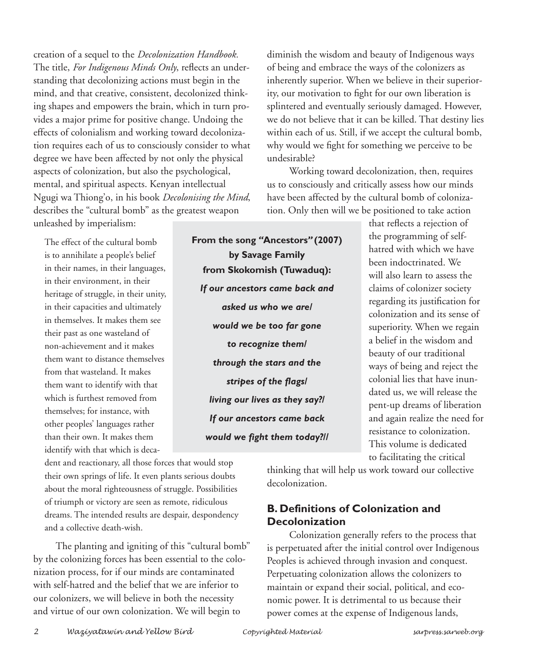creation of a sequel to the *Decolonization Handbook.* The title, *For Indigenous Minds Only*, reflects an understanding that decolonizing actions must begin in the mind, and that creative, consistent, decolonized thinking shapes and empowers the brain, which in turn provides a major prime for positive change. Undoing the effects of colonialism and working toward decolonization requires each of us to consciously consider to what degree we have been affected by not only the physical aspects of colonization, but also the psychological, mental, and spiritual aspects. Kenyan intellectual Ngugi wa Thiong'o, in his book *Decolonising the Mind*, describes the "cultural bomb" as the greatest weapon unleashed by imperialism:

The effect of the cultural bomb is to annihilate a people's belief in their names, in their languages, in their environment, in their heritage of struggle, in their unity, in their capacities and ultimately in themselves. It makes them see their past as one wasteland of non-achievement and it makes them want to distance themselves from that wasteland. It makes them want to identify with that which is furthest removed from themselves; for instance, with other peoples' languages rather than their own. It makes them identify with that which is deca**From the song** *"***Ancestors***"* **(2007) by Savage Family from Skokomish (Tuwaduq):** *If our ancestors came back and asked us who we are/ would we be too far gone to recognize them/ through the stars and the stripes of the flags/ living our lives as they say?/ If our ancestors came back would we fight them today?//*

diminish the wisdom and beauty of Indigenous ways of being and embrace the ways of the colonizers as inherently superior. When we believe in their superiority, our motivation to fight for our own liberation is splintered and eventually seriously damaged. However, we do not believe that it can be killed. That destiny lies within each of us. Still, if we accept the cultural bomb, why would we fight for something we perceive to be undesirable?

Working toward decolonization, then, requires us to consciously and critically assess how our minds have been affected by the cultural bomb of colonization. Only then will we be positioned to take action

> that reflects a rejection of the programming of selfhatred with which we have been indoctrinated. We will also learn to assess the claims of colonizer society regarding its justification for colonization and its sense of superiority. When we regain a belief in the wisdom and beauty of our traditional ways of being and reject the colonial lies that have inundated us, we will release the pent-up dreams of liberation and again realize the need for resistance to colonization. This volume is dedicated to facilitating the critical

dent and reactionary, all those forces that would stop their own springs of life. It even plants serious doubts about the moral righteousness of struggle. Possibilities of triumph or victory are seen as remote, ridiculous dreams. The intended results are despair, despondency and a collective death-wish.

The planting and igniting of this "cultural bomb" by the colonizing forces has been essential to the colonization process, for if our minds are contaminated with self-hatred and the belief that we are inferior to our colonizers, we will believe in both the necessity and virtue of our own colonization. We will begin to

thinking that will help us work toward our collective decolonization.

## **B. Definitions of Colonization and Decolonization**

Colonization generally refers to the process that is perpetuated after the initial control over Indigenous Peoples is achieved through invasion and conquest. Perpetuating colonization allows the colonizers to maintain or expand their social, political, and economic power. It is detrimental to us because their power comes at the expense of Indigenous lands,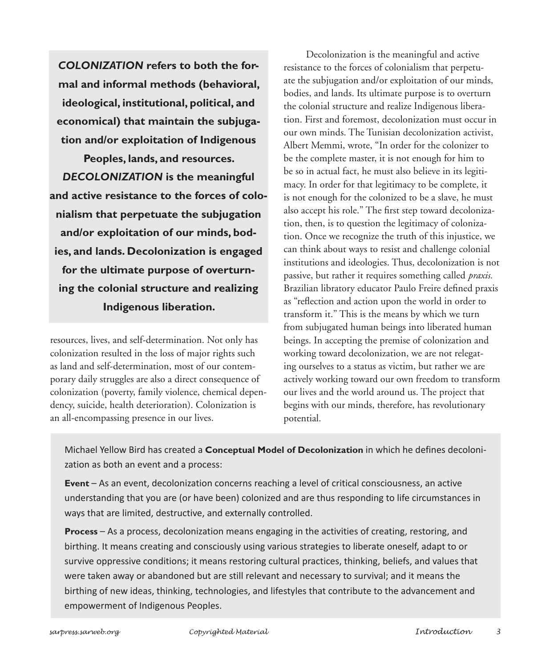*Colonization* **refers to both the formal and informal methods (behavioral, ideological, institutional, political, and economical) that maintain the subjugation and/or exploitation of Indigenous Peoples, lands, and resources.**  *Decolonization* **is the meaningful and active resistance to the forces of colonialism that perpetuate the subjugation and/or exploitation of our minds, bodies, and lands. Decolonization is engaged for the ultimate purpose of overturning the colonial structure and realizing Indigenous liberation.**

resources, lives, and self-determination. Not only has colonization resulted in the loss of major rights such as land and self-determination, most of our contemporary daily struggles are also a direct consequence of colonization (poverty, family violence, chemical dependency, suicide, health deterioration). Colonization is an all-encompassing presence in our lives.

Decolonization is the meaningful and active resistance to the forces of colonialism that perpetuate the subjugation and/or exploitation of our minds, bodies, and lands. Its ultimate purpose is to overturn the colonial structure and realize Indigenous liberation. First and foremost, decolonization must occur in our own minds. The Tunisian decolonization activist, Albert Memmi, wrote, "In order for the colonizer to be the complete master, it is not enough for him to be so in actual fact, he must also believe in its legitimacy. In order for that legitimacy to be complete, it is not enough for the colonized to be a slave, he must also accept his role." The first step toward decolonization, then, is to question the legitimacy of colonization. Once we recognize the truth of this injustice, we can think about ways to resist and challenge colonial institutions and ideologies. Thus, decolonization is not passive, but rather it requires something called *praxis.* Brazilian libratory educator Paulo Freire defined praxis as "reflection and action upon the world in order to transform it." This is the means by which we turn from subjugated human beings into liberated human beings. In accepting the premise of colonization and working toward decolonization, we are not relegating ourselves to a status as victim, but rather we are actively working toward our own freedom to transform our lives and the world around us. The project that begins with our minds, therefore, has revolutionary potential.

Michael Yellow Bird has created a **Conceptual Model of Decolonization** in which he defines decolonization as both an event and a process:

**Event** – As an event, decolonization concerns reaching a level of critical consciousness, an active understanding that you are (or have been) colonized and are thus responding to life circumstances in ways that are limited, destructive, and externally controlled.

**Process** – As a process, decolonization means engaging in the activities of creating, restoring, and birthing. It means creating and consciously using various strategies to liberate oneself, adapt to or survive oppressive conditions; it means restoring cultural practices, thinking, beliefs, and values that were taken away or abandoned but are still relevant and necessary to survival; and it means the birthing of new ideas, thinking, technologies, and lifestyles that contribute to the advancement and empowerment of Indigenous Peoples.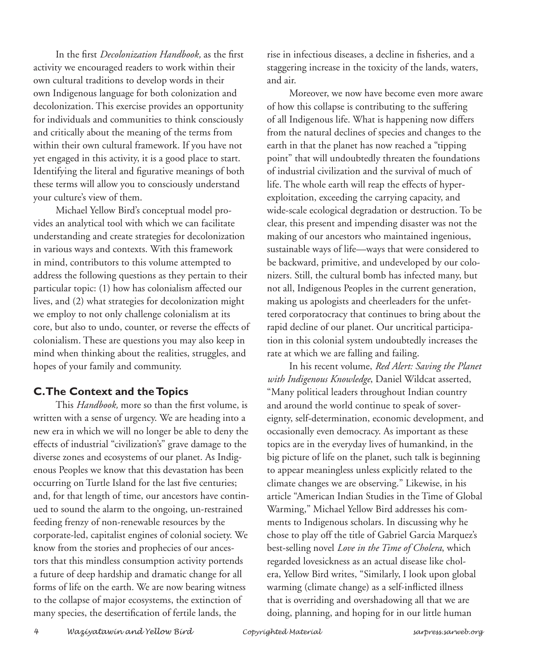In the first *Decolonization Handbook,* as the first activity we encouraged readers to work within their own cultural traditions to develop words in their own Indigenous language for both colonization and decolonization. This exercise provides an opportunity for individuals and communities to think consciously and critically about the meaning of the terms from within their own cultural framework. If you have not yet engaged in this activity, it is a good place to start. Identifying the literal and figurative meanings of both these terms will allow you to consciously understand your culture's view of them.

Michael Yellow Bird's conceptual model provides an analytical tool with which we can facilitate understanding and create strategies for decolonization in various ways and contexts. With this framework in mind, contributors to this volume attempted to address the following questions as they pertain to their particular topic: (1) how has colonialism affected our lives, and (2) what strategies for decolonization might we employ to not only challenge colonialism at its core, but also to undo, counter, or reverse the effects of colonialism. These are questions you may also keep in mind when thinking about the realities, struggles, and hopes of your family and community.

## **C. The Context and the Topics**

This *Handbook,* more so than the first volume, is written with a sense of urgency. We are heading into a new era in which we will no longer be able to deny the effects of industrial "civilization's" grave damage to the diverse zones and ecosystems of our planet. As Indigenous Peoples we know that this devastation has been occurring on Turtle Island for the last five centuries; and, for that length of time, our ancestors have continued to sound the alarm to the ongoing, un-restrained feeding frenzy of non-renewable resources by the corporate-led, capitalist engines of colonial society. We know from the stories and prophecies of our ancestors that this mindless consumption activity portends a future of deep hardship and dramatic change for all forms of life on the earth. We are now bearing witness to the collapse of major ecosystems, the extinction of many species, the desertification of fertile lands, the

rise in infectious diseases, a decline in fisheries, and a staggering increase in the toxicity of the lands, waters, and air.

Moreover, we now have become even more aware of how this collapse is contributing to the suffering of all Indigenous life. What is happening now differs from the natural declines of species and changes to the earth in that the planet has now reached a "tipping point" that will undoubtedly threaten the foundations of industrial civilization and the survival of much of life. The whole earth will reap the effects of hyperexploitation, exceeding the carrying capacity, and wide-scale ecological degradation or destruction. To be clear, this present and impending disaster was not the making of our ancestors who maintained ingenious, sustainable ways of life—ways that were considered to be backward, primitive, and undeveloped by our colonizers. Still, the cultural bomb has infected many, but not all, Indigenous Peoples in the current generation, making us apologists and cheerleaders for the unfettered corporatocracy that continues to bring about the rapid decline of our planet. Our uncritical participation in this colonial system undoubtedly increases the rate at which we are falling and failing.

In his recent volume, *Red Alert: Saving the Planet with Indigenous Knowledge*, Daniel Wildcat asserted, "Many political leaders throughout Indian country and around the world continue to speak of sovereignty, self-determination, economic development, and occasionally even democracy. As important as these topics are in the everyday lives of humankind, in the big picture of life on the planet, such talk is beginning to appear meaningless unless explicitly related to the climate changes we are observing." Likewise, in his article "American Indian Studies in the Time of Global Warming," Michael Yellow Bird addresses his comments to Indigenous scholars. In discussing why he chose to play off the title of Gabriel Garcia Marquez's best-selling novel *Love in the Time of Cholera*, which regarded lovesickness as an actual disease like cholera, Yellow Bird writes, "Similarly, I look upon global warming (climate change) as a self-inflicted illness that is overriding and overshadowing all that we are doing, planning, and hoping for in our little human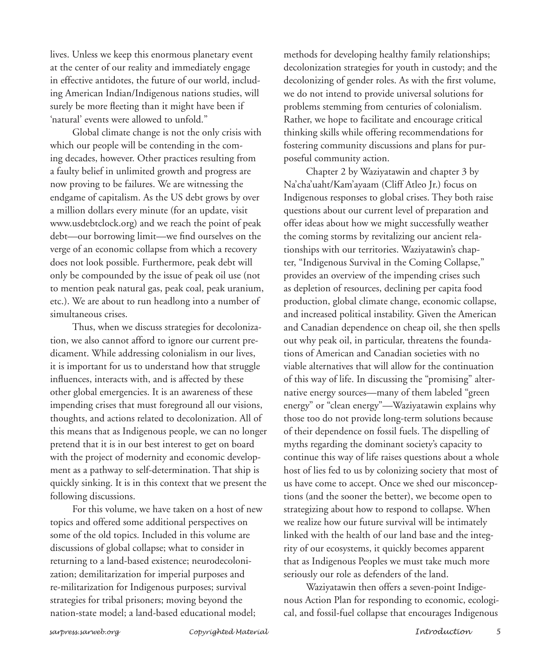lives. Unless we keep this enormous planetary event at the center of our reality and immediately engage in effective antidotes, the future of our world, including American Indian/Indigenous nations studies, will surely be more fleeting than it might have been if 'natural' events were allowed to unfold."

Global climate change is not the only crisis with which our people will be contending in the coming decades, however. Other practices resulting from a faulty belief in unlimited growth and progress are now proving to be failures. We are witnessing the endgame of capitalism. As the US debt grows by over a million dollars every minute (for an update, visit www.usdebtclock.org) and we reach the point of peak debt—our borrowing limit—we find ourselves on the verge of an economic collapse from which a recovery does not look possible. Furthermore, peak debt will only be compounded by the issue of peak oil use (not to mention peak natural gas, peak coal, peak uranium, etc.). We are about to run headlong into a number of simultaneous crises.

Thus, when we discuss strategies for decolonization, we also cannot afford to ignore our current predicament. While addressing colonialism in our lives, it is important for us to understand how that struggle influences, interacts with, and is affected by these other global emergencies. It is an awareness of these impending crises that must foreground all our visions, thoughts, and actions related to decolonization. All of this means that as Indigenous people, we can no longer pretend that it is in our best interest to get on board with the project of modernity and economic development as a pathway to self-determination. That ship is quickly sinking. It is in this context that we present the following discussions.

For this volume, we have taken on a host of new topics and offered some additional perspectives on some of the old topics. Included in this volume are discussions of global collapse; what to consider in returning to a land-based existence; neurodecolonization; demilitarization for imperial purposes and re-militarization for Indigenous purposes; survival strategies for tribal prisoners; moving beyond the nation-state model; a land-based educational model;

methods for developing healthy family relationships; decolonization strategies for youth in custody; and the decolonizing of gender roles. As with the first volume, we do not intend to provide universal solutions for problems stemming from centuries of colonialism. Rather, we hope to facilitate and encourage critical thinking skills while offering recommendations for fostering community discussions and plans for purposeful community action.

Chapter 2 by Waziyatawin and chapter 3 by Na'cha'uaht/Kam'ayaam (Cliff Atleo Jr.) focus on Indigenous responses to global crises. They both raise questions about our current level of preparation and offer ideas about how we might successfully weather the coming storms by revitalizing our ancient relationships with our territories. Waziyatawin's chapter, "Indigenous Survival in the Coming Collapse," provides an overview of the impending crises such as depletion of resources, declining per capita food production, global climate change, economic collapse, and increased political instability. Given the American and Canadian dependence on cheap oil, she then spells out why peak oil, in particular, threatens the foundations of American and Canadian societies with no viable alternatives that will allow for the continuation of this way of life. In discussing the "promising" alternative energy sources—many of them labeled "green energy" or "clean energy"—Waziyatawin explains why those too do not provide long-term solutions because of their dependence on fossil fuels. The dispelling of myths regarding the dominant society's capacity to continue this way of life raises questions about a whole host of lies fed to us by colonizing society that most of us have come to accept. Once we shed our misconceptions (and the sooner the better), we become open to strategizing about how to respond to collapse. When we realize how our future survival will be intimately linked with the health of our land base and the integrity of our ecosystems, it quickly becomes apparent that as Indigenous Peoples we must take much more seriously our role as defenders of the land.

Waziyatawin then offers a seven-point Indigenous Action Plan for responding to economic, ecological, and fossil-fuel collapse that encourages Indigenous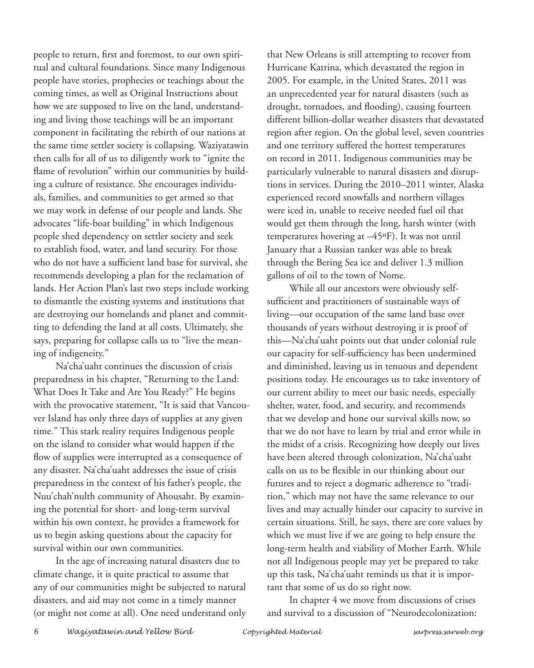people to return, first and foremost, to our own spiritual and cultural foundations. Since many Indigenous people have stories, prophecies or teachings about the coming times, as well as Original Instructions about how we are supposed to live on the land, understanding and living those teachings will be an important component in facilitating the rebirth of our nations at the same time settler society is collapsing. Waziyatawin then calls for all of us to diligently work to "ignite the flame of revolution" within our communities by building a culture of resistance. She encourages individuals, families, and communities to get armed so that we may work in defense of our people and lands. She advocates "life-boat building" in which Indigenous people shed dependency on settler society and seek to establish food, water, and land security. For those who do not have a sufficient land base for survival, she recommends developing a plan for the reclamation of lands. Her Action Plan's last two steps include working to dismantle the existing systems and institutions that are destroying our homelands and planet and committing to defending the land at all costs. Ultimately, she says, preparing for collapse calls us to "live the meaning of indigeneity."

Na'cha'uaht continues the discussion of crisis preparedness in his chapter, "Returning to the Land: What Does It Take and Are You Ready?" He begins with the provocative statement, "It is said that Vancouver Island has only three days of supplies at any given time." This stark reality requires Indigenous people on the island to consider what would happen if the flow of supplies were interrupted as a consequence of any disaster. Na'cha'uaht addresses the issue of crisis preparedness in the context of his father's people, the Nuu'chah'nulth community of Ahousaht. By examining the potential for short- and long-term survival within his own context, he provides a framework for us to begin asking questions about the capacity for survival within our own communities.

In the age of increasing natural disasters due to climate change, it is quite practical to assume that any of our communities might be subjected to natural disasters, and aid may not come in a timely manner (or might not come at all). One need understand only

that New Orleans is still attempting to recover from Hurricane Katrina, which devastated the region in 2005. For example, in the United States, 2011 was an unprecedented year for natural disasters (such as drought, tornadoes, and flooding), causing fourteen different billion-dollar weather disasters that devastated region after region. On the global level, seven countries and one territory suffered the hottest temperatures on record in 2011. Indigenous communities may be particularly vulnerable to natural disasters and disruptions in services. During the 2010–2011 winter, Alaska experienced record snowfalls and northern villages were iced in, unable to receive needed fuel oil that would get them through the long, harsh winter (with temperatures hovering at –45ºF). It was not until January that a Russian tanker was able to break through the Bering Sea ice and deliver 1.3 million gallons of oil to the town of Nome.

While all our ancestors were obviously selfsufficient and practitioners of sustainable ways of living—our occupation of the same land base over thousands of years without destroying it is proof of this—Na'cha'uaht points out that under colonial rule our capacity for self-sufficiency has been undermined and diminished, leaving us in tenuous and dependent positions today. He encourages us to take inventory of our current ability to meet our basic needs, especially shelter, water, food, and security, and recommends that we develop and hone our survival skills now, so that we do not have to learn by trial and error while in the midst of a crisis. Recognizing how deeply our lives have been altered through colonization, Na'cha'uaht calls on us to be flexible in our thinking about our futures and to reject a dogmatic adherence to "tradition," which may not have the same relevance to our lives and may actually hinder our capacity to survive in certain situations. Still, he says, there are core values by which we must live if we are going to help ensure the long-term health and viability of Mother Earth. While not all Indigenous people may yet be prepared to take up this task, Na'cha'uaht reminds us that it is important that some of us do so right now.

In chapter 4 we move from discussions of crises and survival to a discussion of "Neurodecolonization: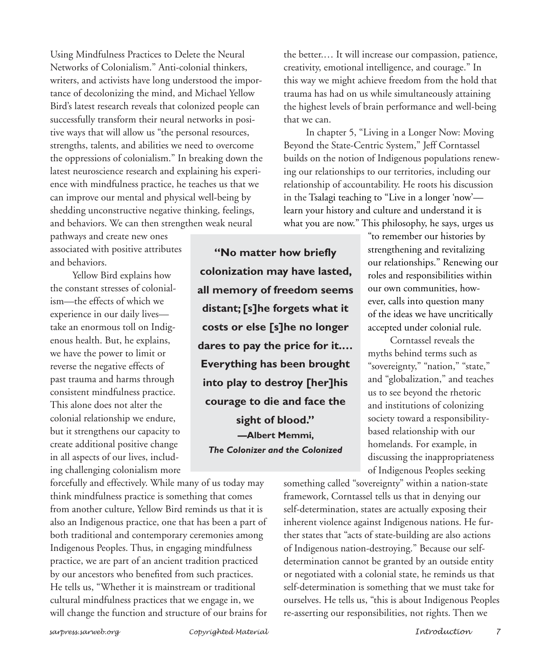Using Mindfulness Practices to Delete the Neural Networks of Colonialism." Anti-colonial thinkers, writers, and activists have long understood the importance of decolonizing the mind, and Michael Yellow Bird's latest research reveals that colonized people can successfully transform their neural networks in positive ways that will allow us "the personal resources, strengths, talents, and abilities we need to overcome the oppressions of colonialism." In breaking down the latest neuroscience research and explaining his experience with mindfulness practice, he teaches us that we can improve our mental and physical well-being by shedding unconstructive negative thinking, feelings, and behaviors. We can then strengthen weak neural

pathways and create new ones associated with positive attributes and behaviors.

Yellow Bird explains how the constant stresses of colonialism—the effects of which we experience in our daily lives take an enormous toll on Indigenous health. But, he explains, we have the power to limit or reverse the negative effects of past trauma and harms through consistent mindfulness practice. This alone does not alter the colonial relationship we endure, but it strengthens our capacity to create additional positive change in all aspects of our lives, including challenging colonialism more

forcefully and effectively. While many of us today may think mindfulness practice is something that comes from another culture, Yellow Bird reminds us that it is also an Indigenous practice, one that has been a part of both traditional and contemporary ceremonies among Indigenous Peoples. Thus, in engaging mindfulness practice, we are part of an ancient tradition practiced by our ancestors who benefited from such practices. He tells us, "Whether it is mainstream or traditional cultural mindfulness practices that we engage in, we will change the function and structure of our brains for

**"No matter how briefly colonization may have lasted, all memory of freedom seems distant; [s]he forgets what it costs or else [s]he no longer dares to pay the price for it.… Everything has been brought into play to destroy [her]his courage to die and face the sight of blood." —Albert Memmi,**  *The Colonizer and the Colonized*

the better.… It will increase our compassion, patience, creativity, emotional intelligence, and courage." In this way we might achieve freedom from the hold that trauma has had on us while simultaneously attaining the highest levels of brain performance and well-being that we can.

In chapter 5, "Living in a Longer Now: Moving Beyond the State-Centric System," Jeff Corntassel builds on the notion of Indigenous populations renewing our relationships to our territories, including our relationship of accountability. He roots his discussion in the Tsalagi teaching to "Live in a longer 'now' learn your history and culture and understand it is what you are now." This philosophy, he says, urges us

"to remember our histories by strengthening and revitalizing our relationships." Renewing our roles and responsibilities within our own communities, however, calls into question many of the ideas we have uncritically accepted under colonial rule.

Corntassel reveals the myths behind terms such as "sovereignty," "nation," "state," and "globalization," and teaches us to see beyond the rhetoric and institutions of colonizing society toward a responsibilitybased relationship with our homelands. For example, in discussing the inappropriateness of Indigenous Peoples seeking

something called "sovereignty" within a nation-state framework, Corntassel tells us that in denying our self-determination, states are actually exposing their inherent violence against Indigenous nations. He further states that "acts of state-building are also actions of Indigenous nation-destroying." Because our selfdetermination cannot be granted by an outside entity or negotiated with a colonial state, he reminds us that self-determination is something that we must take for ourselves. He tells us, "this is about Indigenous Peoples re-asserting our responsibilities, not rights. Then we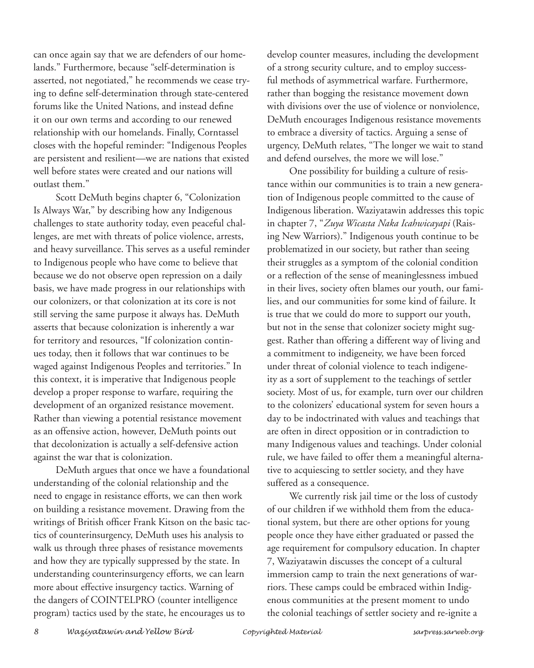can once again say that we are defenders of our homelands." Furthermore, because "self-determination is asserted, not negotiated," he recommends we cease trying to define self-determination through state-centered forums like the United Nations, and instead define it on our own terms and according to our renewed relationship with our homelands. Finally, Corntassel closes with the hopeful reminder: "Indigenous Peoples are persistent and resilient—we are nations that existed well before states were created and our nations will outlast them."

Scott DeMuth begins chapter 6, "Colonization Is Always War," by describing how any Indigenous challenges to state authority today, even peaceful challenges, are met with threats of police violence, arrests, and heavy surveillance. This serves as a useful reminder to Indigenous people who have come to believe that because we do not observe open repression on a daily basis, we have made progress in our relationships with our colonizers, or that colonization at its core is not still serving the same purpose it always has. DeMuth asserts that because colonization is inherently a war for territory and resources, "If colonization continues today, then it follows that war continues to be waged against Indigenous Peoples and territories." In this context, it is imperative that Indigenous people develop a proper response to warfare, requiring the development of an organized resistance movement. Rather than viewing a potential resistance movement as an offensive action, however, DeMuth points out that decolonization is actually a self-defensive action against the war that is colonization.

DeMuth argues that once we have a foundational understanding of the colonial relationship and the need to engage in resistance efforts, we can then work on building a resistance movement. Drawing from the writings of British officer Frank Kitson on the basic tactics of counterinsurgency, DeMuth uses his analysis to walk us through three phases of resistance movements and how they are typically suppressed by the state. In understanding counterinsurgency efforts, we can learn more about effective insurgency tactics. Warning of the dangers of COINTELPRO (counter intelligence program) tactics used by the state, he encourages us to

develop counter measures, including the development of a strong security culture, and to employ successful methods of asymmetrical warfare. Furthermore, rather than bogging the resistance movement down with divisions over the use of violence or nonviolence, DeMuth encourages Indigenous resistance movements to embrace a diversity of tactics. Arguing a sense of urgency, DeMuth relates, "The longer we wait to stand and defend ourselves, the more we will lose."

One possibility for building a culture of resistance within our communities is to train a new generation of Indigenous people committed to the cause of Indigenous liberation. Waziyatawin addresses this topic in chapter 7, "*Zuya Wicasta Naka Icahwicayapi* (Raising New Warriors)." Indigenous youth continue to be problematized in our society, but rather than seeing their struggles as a symptom of the colonial condition or a reflection of the sense of meaninglessness imbued in their lives, society often blames our youth, our families, and our communities for some kind of failure. It is true that we could do more to support our youth, but not in the sense that colonizer society might suggest. Rather than offering a different way of living and a commitment to indigeneity, we have been forced under threat of colonial violence to teach indigeneity as a sort of supplement to the teachings of settler society. Most of us, for example, turn over our children to the colonizers' educational system for seven hours a day to be indoctrinated with values and teachings that are often in direct opposition or in contradiction to many Indigenous values and teachings. Under colonial rule, we have failed to offer them a meaningful alternative to acquiescing to settler society, and they have suffered as a consequence.

We currently risk jail time or the loss of custody of our children if we withhold them from the educational system, but there are other options for young people once they have either graduated or passed the age requirement for compulsory education. In chapter 7, Waziyatawin discusses the concept of a cultural immersion camp to train the next generations of warriors. These camps could be embraced within Indigenous communities at the present moment to undo the colonial teachings of settler society and re-ignite a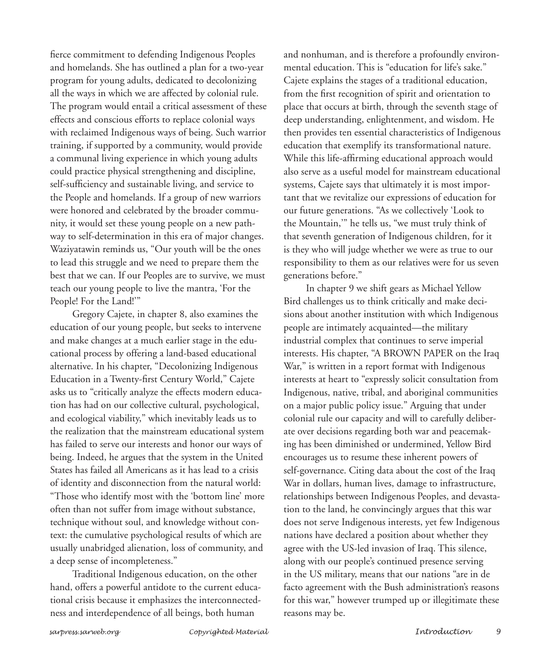fierce commitment to defending Indigenous Peoples and homelands. She has outlined a plan for a two-year program for young adults, dedicated to decolonizing all the ways in which we are affected by colonial rule. The program would entail a critical assessment of these effects and conscious efforts to replace colonial ways with reclaimed Indigenous ways of being. Such warrior training, if supported by a community, would provide a communal living experience in which young adults could practice physical strengthening and discipline, self-sufficiency and sustainable living, and service to the People and homelands. If a group of new warriors were honored and celebrated by the broader community, it would set these young people on a new pathway to self-determination in this era of major changes. Waziyatawin reminds us, "Our youth will be the ones to lead this struggle and we need to prepare them the best that we can. If our Peoples are to survive, we must teach our young people to live the mantra, 'For the People! For the Land!'"

Gregory Cajete, in chapter 8, also examines the education of our young people, but seeks to intervene and make changes at a much earlier stage in the educational process by offering a land-based educational alternative. In his chapter, "Decolonizing Indigenous Education in a Twenty-first Century World," Cajete asks us to "critically analyze the effects modern education has had on our collective cultural, psychological, and ecological viability," which inevitably leads us to the realization that the mainstream educational system has failed to serve our interests and honor our ways of being. Indeed, he argues that the system in the United States has failed all Americans as it has lead to a crisis of identity and disconnection from the natural world: "Those who identify most with the 'bottom line' more often than not suffer from image without substance, technique without soul, and knowledge without context: the cumulative psychological results of which are usually unabridged alienation, loss of community, and a deep sense of incompleteness."

Traditional Indigenous education, on the other hand, offers a powerful antidote to the current educational crisis because it emphasizes the interconnectedness and interdependence of all beings, both human

and nonhuman, and is therefore a profoundly environmental education. This is "education for life's sake." Cajete explains the stages of a traditional education, from the first recognition of spirit and orientation to place that occurs at birth, through the seventh stage of deep understanding, enlightenment, and wisdom. He then provides ten essential characteristics of Indigenous education that exemplify its transformational nature. While this life-affirming educational approach would also serve as a useful model for mainstream educational systems, Cajete says that ultimately it is most important that we revitalize our expressions of education for our future generations. "As we collectively 'Look to the Mountain,'" he tells us, "we must truly think of that seventh generation of Indigenous children, for it is they who will judge whether we were as true to our responsibility to them as our relatives were for us seven generations before."

In chapter 9 we shift gears as Michael Yellow Bird challenges us to think critically and make decisions about another institution with which Indigenous people are intimately acquainted—the military industrial complex that continues to serve imperial interests. His chapter, "A BROWN PAPER on the Iraq War," is written in a report format with Indigenous interests at heart to "expressly solicit consultation from Indigenous, native, tribal, and aboriginal communities on a major public policy issue." Arguing that under colonial rule our capacity and will to carefully deliberate over decisions regarding both war and peacemaking has been diminished or undermined, Yellow Bird encourages us to resume these inherent powers of self-governance. Citing data about the cost of the Iraq War in dollars, human lives, damage to infrastructure, relationships between Indigenous Peoples, and devastation to the land, he convincingly argues that this war does not serve Indigenous interests, yet few Indigenous nations have declared a position about whether they agree with the US-led invasion of Iraq. This silence, along with our people's continued presence serving in the US military, means that our nations "are in de facto agreement with the Bush administration's reasons for this war," however trumped up or illegitimate these reasons may be.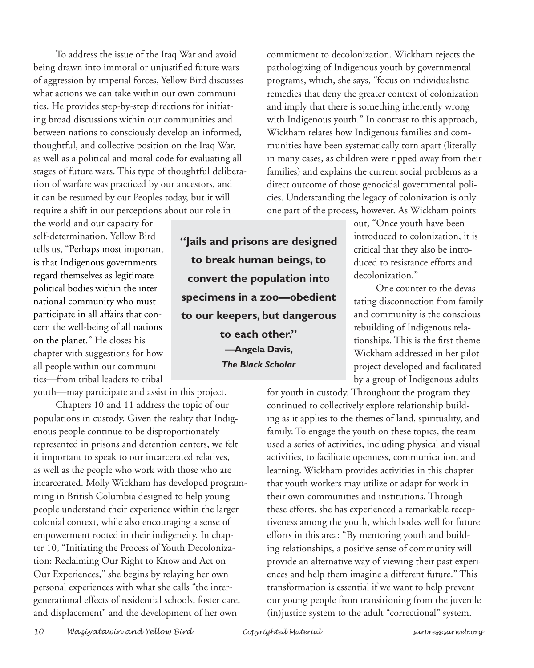To address the issue of the Iraq War and avoid being drawn into immoral or unjustified future wars of aggression by imperial forces, Yellow Bird discusses what actions we can take within our own communities. He provides step-by-step directions for initiating broad discussions within our communities and between nations to consciously develop an informed, thoughtful, and collective position on the Iraq War, as well as a political and moral code for evaluating all stages of future wars. This type of thoughtful deliberation of warfare was practiced by our ancestors, and it can be resumed by our Peoples today, but it will require a shift in our perceptions about our role in

the world and our capacity for self-determination. Yellow Bird tells us, "Perhaps most important is that Indigenous governments regard themselves as legitimate political bodies within the international community who must participate in all affairs that concern the well-being of all nations on the planet." He closes his chapter with suggestions for how all people within our communities—from tribal leaders to tribal

youth—may participate and assist in this project.

Chapters 10 and 11 address the topic of our populations in custody. Given the reality that Indigenous people continue to be disproportionately represented in prisons and detention centers, we felt it important to speak to our incarcerated relatives, as well as the people who work with those who are incarcerated. Molly Wickham has developed programming in British Columbia designed to help young people understand their experience within the larger colonial context, while also encouraging a sense of empowerment rooted in their indigeneity. In chapter 10, "Initiating the Process of Youth Decolonization: Reclaiming Our Right to Know and Act on Our Experiences," she begins by relaying her own personal experiences with what she calls "the intergenerational effects of residential schools, foster care, and displacement" and the development of her own

**"Jails and prisons are designed to break human beings, to convert the population into specimens in a zoo—obedient to our keepers, but dangerous to each other."**

**—Angela Davis,**  *The Black Scholar*

commitment to decolonization. Wickham rejects the pathologizing of Indigenous youth by governmental programs, which, she says, "focus on individualistic remedies that deny the greater context of colonization and imply that there is something inherently wrong with Indigenous youth." In contrast to this approach, Wickham relates how Indigenous families and communities have been systematically torn apart (literally in many cases, as children were ripped away from their families) and explains the current social problems as a direct outcome of those genocidal governmental policies. Understanding the legacy of colonization is only one part of the process, however. As Wickham points

> out, "Once youth have been introduced to colonization, it is critical that they also be introduced to resistance efforts and decolonization."

One counter to the devastating disconnection from family and community is the conscious rebuilding of Indigenous relationships. This is the first theme Wickham addressed in her pilot project developed and facilitated by a group of Indigenous adults

for youth in custody. Throughout the program they continued to collectively explore relationship building as it applies to the themes of land, spirituality, and family. To engage the youth on these topics, the team used a series of activities, including physical and visual activities, to facilitate openness, communication, and learning. Wickham provides activities in this chapter that youth workers may utilize or adapt for work in their own communities and institutions. Through these efforts, she has experienced a remarkable receptiveness among the youth, which bodes well for future efforts in this area: "By mentoring youth and building relationships, a positive sense of community will provide an alternative way of viewing their past experiences and help them imagine a different future." This transformation is essential if we want to help prevent our young people from transitioning from the juvenile (in)justice system to the adult "correctional" system.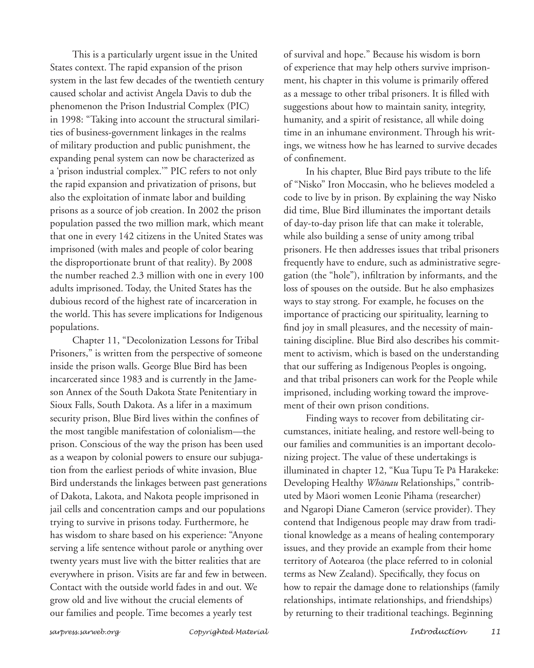This is a particularly urgent issue in the United States context. The rapid expansion of the prison system in the last few decades of the twentieth century caused scholar and activist Angela Davis to dub the phenomenon the Prison Industrial Complex (PIC) in 1998: "Taking into account the structural similarities of business-government linkages in the realms of military production and public punishment, the expanding penal system can now be characterized as a 'prison industrial complex.'" PIC refers to not only the rapid expansion and privatization of prisons, but also the exploitation of inmate labor and building prisons as a source of job creation. In 2002 the prison population passed the two million mark, which meant that one in every 142 citizens in the United States was imprisoned (with males and people of color bearing the disproportionate brunt of that reality). By 2008 the number reached 2.3 million with one in every 100 adults imprisoned. Today, the United States has the dubious record of the highest rate of incarceration in the world. This has severe implications for Indigenous populations.

Chapter 11, "Decolonization Lessons for Tribal Prisoners," is written from the perspective of someone inside the prison walls. George Blue Bird has been incarcerated since 1983 and is currently in the Jameson Annex of the South Dakota State Penitentiary in Sioux Falls, South Dakota. As a lifer in a maximum security prison, Blue Bird lives within the confines of the most tangible manifestation of colonialism—the prison. Conscious of the way the prison has been used as a weapon by colonial powers to ensure our subjugation from the earliest periods of white invasion, Blue Bird understands the linkages between past generations of Dakota, Lakota, and Nakota people imprisoned in jail cells and concentration camps and our populations trying to survive in prisons today. Furthermore, he has wisdom to share based on his experience: "Anyone serving a life sentence without parole or anything over twenty years must live with the bitter realities that are everywhere in prison. Visits are far and few in between. Contact with the outside world fades in and out. We grow old and live without the crucial elements of our families and people. Time becomes a yearly test

of survival and hope." Because his wisdom is born of experience that may help others survive imprisonment, his chapter in this volume is primarily offered as a message to other tribal prisoners. It is filled with suggestions about how to maintain sanity, integrity, humanity, and a spirit of resistance, all while doing time in an inhumane environment. Through his writings, we witness how he has learned to survive decades of confinement.

In his chapter, Blue Bird pays tribute to the life of "Nisko" Iron Moccasin, who he believes modeled a code to live by in prison. By explaining the way Nisko did time, Blue Bird illuminates the important details of day-to-day prison life that can make it tolerable, while also building a sense of unity among tribal prisoners. He then addresses issues that tribal prisoners frequently have to endure, such as administrative segregation (the "hole"), infiltration by informants, and the loss of spouses on the outside. But he also emphasizes ways to stay strong. For example, he focuses on the importance of practicing our spirituality, learning to find joy in small pleasures, and the necessity of maintaining discipline. Blue Bird also describes his commitment to activism, which is based on the understanding that our suffering as Indigenous Peoples is ongoing, and that tribal prisoners can work for the People while imprisoned, including working toward the improvement of their own prison conditions.

Finding ways to recover from debilitating circumstances, initiate healing, and restore well-being to our families and communities is an important decolonizing project. The value of these undertakings is illuminated in chapter 12, "Kua Tupu Te Pa\ Harakeke: Developing Healthy *Whan\ au* Relationships," contributed by Māori women Leonie Pihama (researcher) and Ngaropi Diane Cameron (service provider). They contend that Indigenous people may draw from traditional knowledge as a means of healing contemporary issues, and they provide an example from their home territory of Aotearoa (the place referred to in colonial terms as New Zealand). Specifically, they focus on how to repair the damage done to relationships (family relationships, intimate relationships, and friendships) by returning to their traditional teachings. Beginning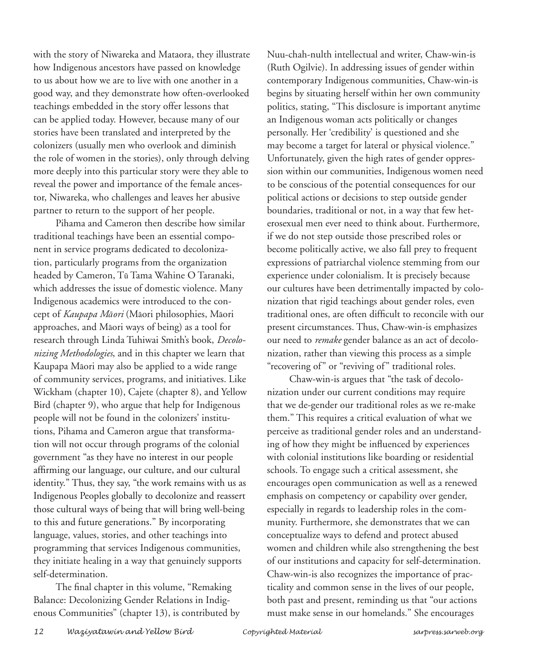with the story of Niwareka and Mataora, they illustrate how Indigenous ancestors have passed on knowledge to us about how we are to live with one another in a good way, and they demonstrate how often-overlooked teachings embedded in the story offer lessons that can be applied today. However, because many of our stories have been translated and interpreted by the colonizers (usually men who overlook and diminish the role of women in the stories), only through delving more deeply into this particular story were they able to reveal the power and importance of the female ancestor, Niwareka, who challenges and leaves her abusive partner to return to the support of her people.

Pihama and Cameron then describe how similar traditional teachings have been an essential component in service programs dedicated to decolonization, particularly programs from the organization headed by Cameron, Tū Tama Wahine O Taranaki, which addresses the issue of domestic violence. Many Indigenous academics were introduced to the concept of *Kaupapa Ma\ori* (Ma\ori philosophies, Ma\ori approaches, and Māori ways of being) as a tool for research through Linda Tuhiwai Smith's book, *Decolonizing Methodologies*, and in this chapter we learn that Kaupapa Māori may also be applied to a wide range of community services, programs, and initiatives. Like Wickham (chapter 10), Cajete (chapter 8), and Yellow Bird (chapter 9), who argue that help for Indigenous people will not be found in the colonizers' institutions, Pihama and Cameron argue that transformation will not occur through programs of the colonial government "as they have no interest in our people affirming our language, our culture, and our cultural identity." Thus, they say, "the work remains with us as Indigenous Peoples globally to decolonize and reassert those cultural ways of being that will bring well-being to this and future generations." By incorporating language, values, stories, and other teachings into programming that services Indigenous communities, they initiate healing in a way that genuinely supports self-determination.

The final chapter in this volume, "Remaking Balance: Decolonizing Gender Relations in Indigenous Communities" (chapter 13), is contributed by Nuu-chah-nulth intellectual and writer, Chaw-win-is (Ruth Ogilvie). In addressing issues of gender within contemporary Indigenous communities, Chaw-win-is begins by situating herself within her own community politics, stating, "This disclosure is important anytime an Indigenous woman acts politically or changes personally. Her 'credibility' is questioned and she may become a target for lateral or physical violence." Unfortunately, given the high rates of gender oppression within our communities, Indigenous women need to be conscious of the potential consequences for our political actions or decisions to step outside gender boundaries, traditional or not, in a way that few heterosexual men ever need to think about. Furthermore, if we do not step outside those prescribed roles or become politically active, we also fall prey to frequent expressions of patriarchal violence stemming from our experience under colonialism. It is precisely because our cultures have been detrimentally impacted by colonization that rigid teachings about gender roles, even traditional ones, are often difficult to reconcile with our present circumstances. Thus, Chaw-win-is emphasizes our need to *remake* gender balance as an act of decolonization, rather than viewing this process as a simple "recovering of" or "reviving of" traditional roles.

Chaw-win-is argues that "the task of decolonization under our current conditions may require that we de-gender our traditional roles as we re-make them." This requires a critical evaluation of what we perceive as traditional gender roles and an understanding of how they might be influenced by experiences with colonial institutions like boarding or residential schools. To engage such a critical assessment, she encourages open communication as well as a renewed emphasis on competency or capability over gender, especially in regards to leadership roles in the community. Furthermore, she demonstrates that we can conceptualize ways to defend and protect abused women and children while also strengthening the best of our institutions and capacity for self-determination. Chaw-win-is also recognizes the importance of practicality and common sense in the lives of our people, both past and present, reminding us that "our actions must make sense in our homelands." She encourages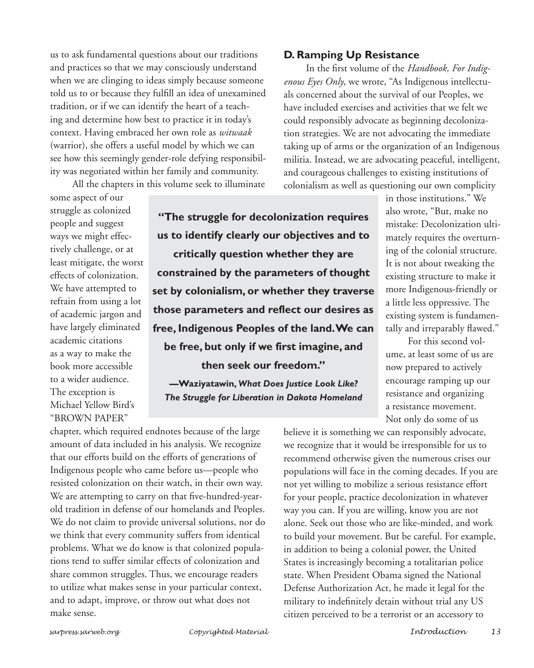us to ask fundamental questions about our traditions and practices so that we may consciously understand when we are clinging to ideas simply because someone told us to or because they fulfill an idea of unexamined tradition, or if we can identify the heart of a teaching and determine how best to practice it in today's context. Having embraced her own role as *witwaak* (warrior), she offers a useful model by which we can see how this seemingly gender-role defying responsibility was negotiated within her family and community.

All the chapters in this volume seek to illuminate

#### **D. Ramping Up Resistance**

In the first volume of the *Handbook, For Indigenous Eyes Only*, we wrote, "As Indigenous intellectuals concerned about the survival of our Peoples, we have included exercises and activities that we felt we could responsibly advocate as beginning decolonization strategies. We are not advocating the immediate taking up of arms or the organization of an Indigenous militia. Instead, we are advocating peaceful, intelligent, and courageous challenges to existing institutions of colonialism as well as questioning our own complicity

some aspect of our struggle as colonized people and suggest ways we might effectively challenge, or at least mitigate, the worst effects of colonization. We have attempted to refrain from using a lot of academic jargon and have largely eliminated academic citations as a way to make the book more accessible to a wider audience. The exception is Michael Yellow Bird's "BROWN PAPER"

**"The struggle for decolonization requires us to identify clearly our objectives and to critically question whether they are constrained by the parameters of thought set by colonialism, or whether they traverse those parameters and reflect our desires as free, Indigenous Peoples of the land. We can be free, but only if we first imagine, and then seek our freedom." —Waziyatawin,** *What Does Justice Look Like? The Struggle for Liberation in Dakota Homeland*

in those institutions." We also wrote, "But, make no mistake: Decolonization ultimately requires the overturning of the colonial structure. It is not about tweaking the existing structure to make it more Indigenous-friendly or a little less oppressive. The existing system is fundamentally and irreparably flawed."

For this second volume, at least some of us are now prepared to actively encourage ramping up our resistance and organizing a resistance movement. Not only do some of us

chapter, which required endnotes because of the large amount of data included in his analysis. We recognize that our efforts build on the efforts of generations of Indigenous people who came before us—people who resisted colonization on their watch, in their own way. We are attempting to carry on that five-hundred-yearold tradition in defense of our homelands and Peoples. We do not claim to provide universal solutions, nor do we think that every community suffers from identical problems. What we do know is that colonized populations tend to suffer similar effects of colonization and share common struggles. Thus, we encourage readers to utilize what makes sense in your particular context, and to adapt, improve, or throw out what does not make sense.

believe it is something we can responsibly advocate, we recognize that it would be irresponsible for us to recommend otherwise given the numerous crises our populations will face in the coming decades. If you are not yet willing to mobilize a serious resistance effort for your people, practice decolonization in whatever way you can. If you are willing, know you are not alone. Seek out those who are like-minded, and work to build your movement. But be careful. For example, in addition to being a colonial power, the United States is increasingly becoming a totalitarian police state. When President Obama signed the National Defense Authorization Act, he made it legal for the military to indefinitely detain without trial any US citizen perceived to be a terrorist or an accessory to